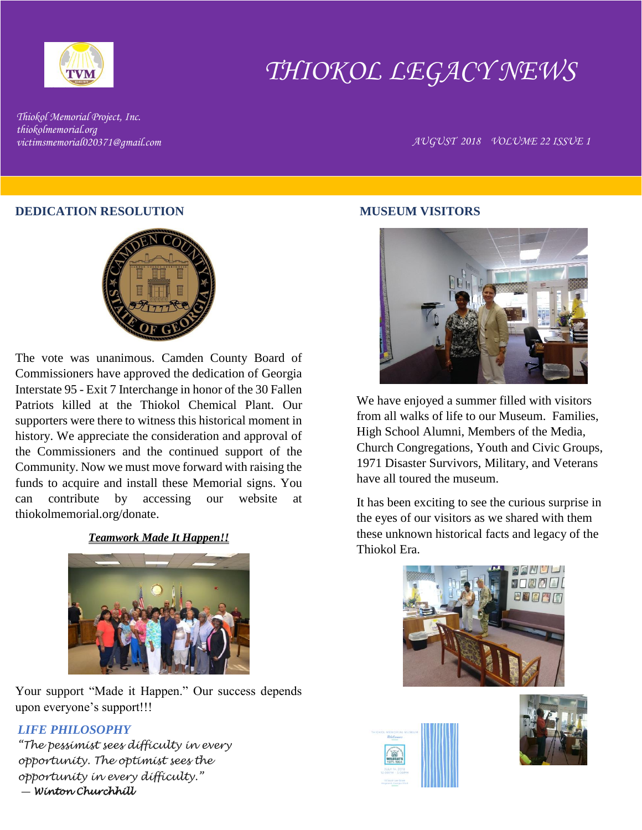

# *THIOKOL LEGACY NEWS*

*Thiokol Memorial Project, Inc. thiokolmemorial.org*

*victimsmemorial020371@gmail.com AUGUST 2018 VOLUME 22 ISSUE 1*

#### **DEDICATION RESOLUTION**



The vote was unanimous. Camden County Board of Commissioners have approved the dedication of Georgia Interstate 95 - Exit 7 Interchange in honor of the 30 Fallen Patriots killed at the Thiokol Chemical Plant. Our supporters were there to witness this historical moment in history. We appreciate the consideration and approval of the Commissioners and the continued support of the Community. Now we must move forward with raising the funds to acquire and install these Memorial signs. You can contribute by accessing our website at thiokolmemorial.org/donate.

*Teamwork Made It Happen!!*



Your support "Made it Happen." Our success depends upon everyone's support!!!

### *LIFE PHILOSOPHY*

*"The pessimist sees difficulty in every opportunity. The optimist sees the opportunity in every difficulty."* ― *Winton Churchhill* 

#### **MUSEUM VISITORS**



We have enjoyed a summer filled with visitors from all walks of life to our Museum. Families, High School Alumni, Members of the Media, Church Congregations, Youth and Civic Groups, 1971 Disaster Survivors, Military, and Veterans have all toured the museum.

It has been exciting to see the curious surprise in the eyes of our visitors as we shared with them these unknown historical facts and legacy of the Thiokol Era.